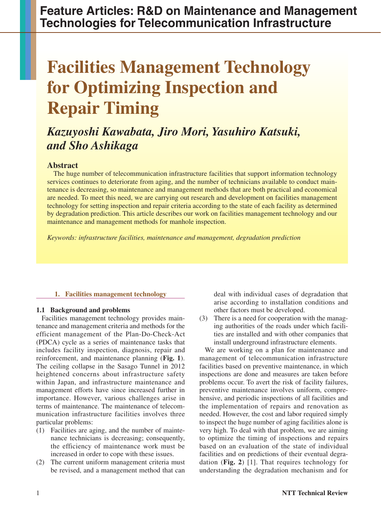**Feature Articles: R&D on Maintenance and Management Technologies for Telecommunication Infrastructure**

# **Facilities Management Technology for Optimizing Inspection and Repair Timing**

## *Kazuyoshi Kawabata, Jiro Mori, Yasuhiro Katsuki, and Sho Ashikaga*

### **Abstract**

The huge number of telecommunication infrastructure facilities that support information technology services continues to deteriorate from aging, and the number of technicians available to conduct maintenance is decreasing, so maintenance and management methods that are both practical and economical are needed. To meet this need, we are carrying out research and development on facilities management technology for setting inspection and repair criteria according to the state of each facility as determined by degradation prediction. This article describes our work on facilities management technology and our maintenance and management methods for manhole inspection.

*Keywords: infrastructure facilities, maintenance and management, degradation prediction*

#### **1. Facilities management technology**

#### **1.1 Background and problems**

Facilities management technology provides maintenance and management criteria and methods for the efficient management of the Plan-Do-Check-Act (PDCA) cycle as a series of maintenance tasks that includes facility inspection, diagnosis, repair and reinforcement, and maintenance planning (**Fig. 1**). The ceiling collapse in the Sasago Tunnel in 2012 heightened concerns about infrastructure safety within Japan, and infrastructure maintenance and management efforts have since increased further in importance. However, various challenges arise in terms of maintenance. The maintenance of telecommunication infrastructure facilities involves three particular problems:

- (1) Facilities are aging, and the number of maintenance technicians is decreasing; consequently, the efficiency of maintenance work must be increased in order to cope with these issues.
- (2) The current uniform management criteria must be revised, and a management method that can

deal with individual cases of degradation that arise according to installation conditions and other factors must be developed.

(3) There is a need for cooperation with the managing authorities of the roads under which facilities are installed and with other companies that install underground infrastructure elements.

We are working on a plan for maintenance and management of telecommunication infrastructure facilities based on preventive maintenance, in which inspections are done and measures are taken before problems occur. To avert the risk of facility failures, preventive maintenance involves uniform, comprehensive, and periodic inspections of all facilities and the implementation of repairs and renovation as needed. However, the cost and labor required simply to inspect the huge number of aging facilities alone is very high. To deal with that problem, we are aiming to optimize the timing of inspections and repairs based on an evaluation of the state of individual facilities and on predictions of their eventual degradation (**Fig. 2**) [1]. That requires technology for understanding the degradation mechanism and for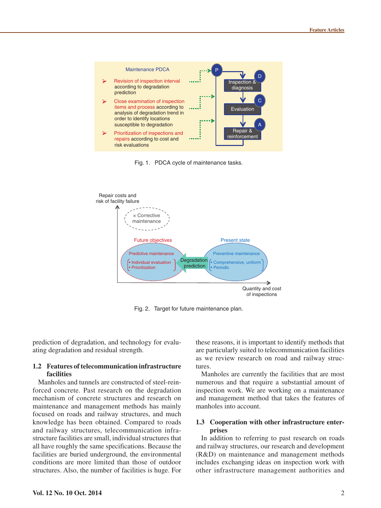





Fig. 2. Target for future maintenance plan.

prediction of degradation, and technology for evaluating degradation and residual strength.

#### **1.2 Features of telecommunication infrastructure facilities**

Manholes and tunnels are constructed of steel-reinforced concrete. Past research on the degradation mechanism of concrete structures and research on maintenance and management methods has mainly focused on roads and railway structures, and much knowledge has been obtained. Compared to roads and railway structures, telecommunication infrastructure facilities are small, individual structures that all have roughly the same specifications. Because the facilities are buried underground, the environmental conditions are more limited than those of outdoor structures. Also, the number of facilities is huge. For

these reasons, it is important to identify methods that are particularly suited to telecommunication facilities as we review research on road and railway structures.

Manholes are currently the facilities that are most numerous and that require a substantial amount of inspection work. We are working on a maintenance and management method that takes the features of manholes into account.

#### **1.3 Cooperation with other infrastructure enterprises**

In addition to referring to past research on roads and railway structures, our research and development (R&D) on maintenance and management methods includes exchanging ideas on inspection work with other infrastructure management authorities and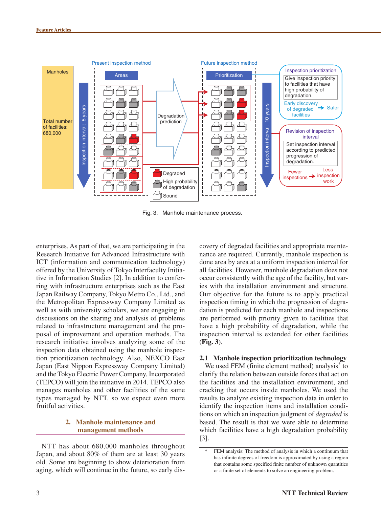

Fig. 3. Manhole maintenance process.

enterprises. As part of that, we are participating in the Research Initiative for Advanced Infrastructure with ICT (information and communication technology) offered by the University of Tokyo Interfaculty Initiative in Information Studies [2]. In addition to conferring with infrastructure enterprises such as the East Japan Railway Company, Tokyo Metro Co., Ltd., and the Metropolitan Expressway Company Limited as well as with university scholars, we are engaging in discussions on the sharing and analysis of problems related to infrastructure management and the proposal of improvement and operation methods. The research initiative involves analyzing some of the inspection data obtained using the manhole inspection prioritization technology. Also, NEXCO East Japan (East Nippon Expressway Company Limited) and the Tokyo Electric Power Company, Incorporated (TEPCO) will join the initiative in 2014. TEPCO also manages manholes and other facilities of the same types managed by NTT, so we expect even more fruitful activities.

#### **2. Manhole maintenance and management methods**

NTT has about 680,000 manholes throughout Japan, and about 80% of them are at least 30 years old. Some are beginning to show deterioration from aging, which will continue in the future, so early discovery of degraded facilities and appropriate maintenance are required. Currently, manhole inspection is done area by area at a uniform inspection interval for all facilities. However, manhole degradation does not occur consistently with the age of the facility, but varies with the installation environment and structure. Our objective for the future is to apply practical inspection timing in which the progression of degradation is predicted for each manhole and inspections are performed with priority given to facilities that have a high probability of degradation, while the inspection interval is extended for other facilities (**Fig. 3**).

#### **2.1 Manhole inspection prioritization technology**

We used FEM (finite element method) analysis<sup>\*</sup> to clarify the relation between outside forces that act on the facilities and the installation environment, and cracking that occurs inside manholes. We used the results to analyze existing inspection data in order to identify the inspection items and installation conditions on which an inspection judgment of *degraded* is based. The result is that we were able to determine which facilities have a high degradation probability [3].

FEM analysis: The method of analysis in which a continuum that has infinite degrees of freedom is approximated by using a region that contains some specified finite number of unknown quantities or a finite set of elements to solve an engineering problem.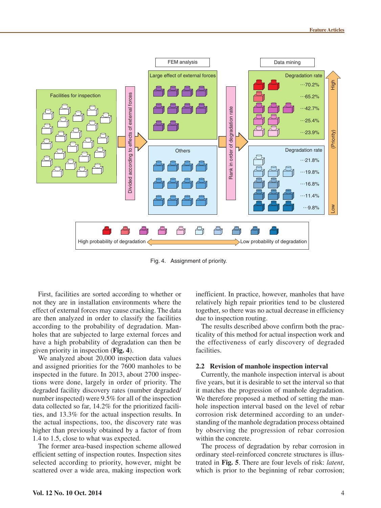

Fig. 4. Assignment of priority.

First, facilities are sorted according to whether or not they are in installation environments where the effect of external forces may cause cracking. The data are then analyzed in order to classify the facilities according to the probability of degradation. Manholes that are subjected to large external forces and have a high probability of degradation can then be given priority in inspection (**Fig. 4**).

We analyzed about 20,000 inspection data values and assigned priorities for the 7600 manholes to be inspected in the future. In 2013, about 2700 inspections were done, largely in order of priority. The degraded facility discovery rates (number degraded/ number inspected) were 9.5% for all of the inspection data collected so far, 14.2% for the prioritized facilities, and 13.3% for the actual inspection results. In the actual inspections, too, the discovery rate was higher than previously obtained by a factor of from 1.4 to 1.5, close to what was expected.

The former area-based inspection scheme allowed efficient setting of inspection routes. Inspection sites selected according to priority, however, might be scattered over a wide area, making inspection work

inefficient. In practice, however, manholes that have relatively high repair priorities tend to be clustered together, so there was no actual decrease in efficiency due to inspection routing.

The results described above confirm both the practicality of this method for actual inspection work and the effectiveness of early discovery of degraded facilities.

#### **2.2 Revision of manhole inspection interval**

Currently, the manhole inspection interval is about five years, but it is desirable to set the interval so that it matches the progression of manhole degradation. We therefore proposed a method of setting the manhole inspection interval based on the level of rebar corrosion risk determined according to an understanding of the manhole degradation process obtained by observing the progression of rebar corrosion within the concrete.

The process of degradation by rebar corrosion in ordinary steel-reinforced concrete structures is illustrated in **Fig. 5**. There are four levels of risk: *latent*, which is prior to the beginning of rebar corrosion;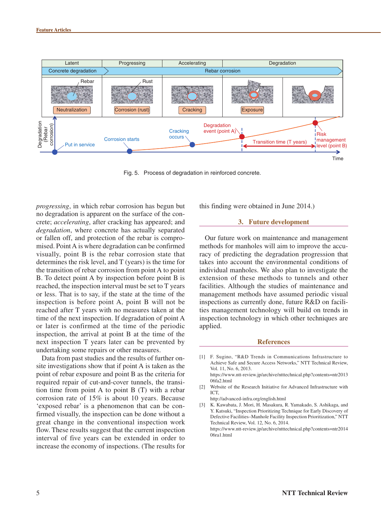

Fig. 5. Process of degradation in reinforced concrete.

*progressing*, in which rebar corrosion has begun but no degradation is apparent on the surface of the concrete; *accelerating*, after cracking has appeared; and *degradation*, where concrete has actually separated or fallen off, and protection of the rebar is compromised. Point A is where degradation can be confirmed visually, point B is the rebar corrosion state that determines the risk level, and T (years) is the time for the transition of rebar corrosion from point A to point B. To detect point A by inspection before point B is reached, the inspection interval must be set to T years or less. That is to say, if the state at the time of the inspection is before point A, point B will not be reached after T years with no measures taken at the time of the next inspection. If degradation of point A or later is confirmed at the time of the periodic inspection, the arrival at point B at the time of the next inspection T years later can be prevented by undertaking some repairs or other measures.

Data from past studies and the results of further onsite investigations show that if point A is taken as the point of rebar exposure and point B as the criteria for required repair of cut-and-cover tunnels, the transition time from point A to point B (T) with a rebar corrosion rate of 15% is about 10 years. Because 'exposed rebar' is a phenomenon that can be confirmed visually, the inspection can be done without a great change in the conventional inspection work flow. These results suggest that the current inspection interval of five years can be extended in order to increase the economy of inspections. (The results for

this finding were obtained in June 2014.)

#### **3. Future development**

Our future work on maintenance and management methods for manholes will aim to improve the accuracy of predicting the degradation progression that takes into account the environmental conditions of individual manholes. We also plan to investigate the extension of these methods to tunnels and other facilities. Although the studies of maintenance and management methods have assumed periodic visual inspections as currently done, future R&D on facilities management technology will build on trends in inspection technology in which other techniques are applied.

#### **References**

[1] F. Sugino, "R&D Trends in Communications Infrastructure to Achieve Safe and Secure Access Networks," NTT Technical Review, Vol. 11, No. 6, 2013. [https://www.ntt-review.jp/archive/ntttechnical.php?contents=ntr2013](https://www.ntt-review.jp/archive/ntttechnical.php?contents=ntr201306fa2.html)

06fa2.html

[2] Website of the Research Initiative for Advanced Infrastructure with ICT,

<http://advanced-infra.org/english.html>

[3] K. Kawabata, J. Mori, H. Masakura, R. Yamakado, S. Ashikaga, and Y. Katsuki, "Inspection Prioritizing Technique for Early Discovery of Defective Facilities–Manhole Facility Inspection Prioritization," NTT Technical Review, Vol. 12, No. 6, 2014.

[https://www.ntt-review.jp/archive/ntttechnical.php?contents=ntr2014](https://www.ntt-review.jp/archive/ntttechnical.php?contents=ntr201406ra1.html) 06ra1.html